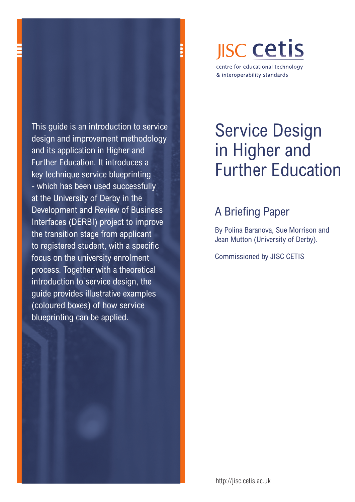This guide is an introduction to service design and improvement methodology and its application in Higher and Further Education. It introduces a key technique service blueprinting - which has been used successfully at the University of Derby in the Development and Review of Business Interfaces (DERBI) project to improve the transition stage from applicant to registered student, with a specific focus on the university enrolment process. Together with a theoretical introduction to service design, the guide provides illustrative examples (coloured boxes) of how service blueprinting can be applied.

## **JISC Cetis** centre for educational technology & interoperability standards

# Service Design in Higher and Further Education

## A Briefing Paper

By Polina Baranova, Sue Morrison and Jean Mutton (University of Derby).

Commissioned by JISC CETIS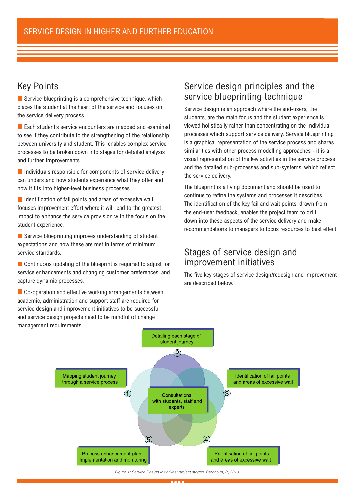## Key Points

Service blueprinting is a comprehensive technique, which places the student at the heart of the service and focuses on the service delivery process.

**Each student's service encounters are mapped and examined** to see if they contribute to the strengthening of the relationship between university and student. This enables complex service processes to be broken down into stages for detailed analysis and further improvements.

**Individuals responsible for components of service delivery** can understand how students experience what they offer and how it fits into higher-level business processes.

 $\blacksquare$  Identification of fail points and areas of excessive wait focuses improvement effort where it will lead to the greatest impact to enhance the service provision with the focus on the student experience.

Service blueprinting improves understanding of student expectations and how these are met in terms of minimum service standards.

**Continuous updating of the blueprint is required to adjust for** service enhancements and changing customer preferences, and capture dynamic processes.

Co-operation and effective working arrangements between academic, administration and support staff are required for service design and improvement initiatives to be successful and service design projects need to be mindful of change management requirements.

## Service design principles and the service blueprinting technique

Service design is an approach where the end-users, the students, are the main focus and the student experience is viewed holistically rather than concentrating on the individual processes which support service delivery. Service blueprinting is a graphical representation of the service process and shares similarities with other process modelling approaches - it is a visual representation of the key activities in the service process and the detailed sub-processes and sub-systems, which reflect the service delivery.

The blueprint is a living document and should be used to continue to refine the systems and processes it describes. The identification of the key fail and wait points, drawn from the end-user feedback, enables the project team to drill down into these aspects of the service delivery and make recommendations to managers to focus resources to best effect.

## Stages of service design and improvement initiatives

The five key stages of service design/redesign and improvement are described below.

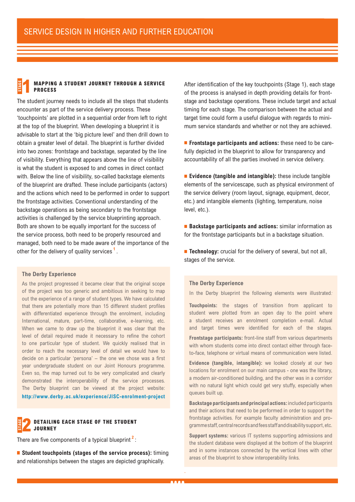#### **Mapping a student journey through a service process Stage 1**

The student journey needs to include all the steps that students encounter as part of the service delivery process. These 'touchpoints' are plotted in a sequential order from left to right at the top of the blueprint. When developing a blueprint it is advisable to start at the 'big picture level' and then drill down to obtain a greater level of detail. The blueprint is further divided into two zones: frontstage and backstage, separated by the line of visibility. Everything that appears above the line of visibility is what the student is exposed to and comes in direct contact with. Below the line of visibility, so-called backstage elements of the blueprint are drafted. These include participants (actors) and the actions which need to be performed in order to support the frontstage activities. Conventional understanding of the backstage operations as being secondary to the frontstage activities is challenged by the service blueprinting approach. Both are shown to be equally important for the success of the service process, both need to be properly resourced and managed, both need to be made aware of the importance of the other for the delivery of quality services **<sup>1</sup>** .

#### **The Derby Experience**

As the project progressed it became clear that the original scope of the project was too generic and ambitious in seeking to map out the experience of a range of student types. We have calculated that there are potentially more than 15 different student profiles with differentiated experience through the enrolment, including International, mature, part-time, collaborative, e-learning, etc. When we came to draw up the blueprint it was clear that the level of detail required made it necessary to refine the cohort to one particular type of student. We quickly realised that in order to reach the necessary level of detail we would have to decide on a particular 'persona' – the one we chose was a first year undergraduate student on our Joint Honours programme. Even so, the map turned out to be very complicated and clearly demonstrated the interoperability of the service processes. The Derby blueprint can be viewed at the project website:

**<http://www.derby.ac.uk/experience/JISC-enrolment-project>**

#### **Detailing each stage of the student journey Stage 2**

There are five components of a typical blueprint **<sup>2</sup>** :

**Student touchpoints (stages of the service process):** timing and relationships between the stages are depicted graphically.

After identification of the key touchpoints (Stage 1), each stage of the process is analysed in depth providing details for frontstage and backstage operations. These include target and actual timing for each stage. The comparison between the actual and target time could form a useful dialogue with regards to minimum service standards and whether or not they are achieved.

**Frontstage participants and actions:** these need to be carefully depicted in the blueprint to allow for transparency and accountability of all the parties involved in service delivery.

**Evidence (tangible and intangible):** these include tangible elements of the servicescape, such as physical environment of the service delivery (room layout, signage, equipment, decor, etc.) and intangible elements (lighting, temperature, noise level, etc.).

■ **Backstage participants and actions:** similar information as for the frontstage participants but in a backstage situation.

**Technology:** crucial for the delivery of several, but not all, stages of the service.

#### **The Derby Experience**

In the Derby blueprint the following elements were illustrated*:*

**Touchpoints:** the stages of transition from applicant to student were plotted from an open day to the point where a student receives an enrolment completion e-mail. Actual and target times were identified for each of the stages.

**Frontstage participants:** front-line staff from various departments with whom students come into direct contact either through faceto-face, telephone or virtual means of communication were listed.

**Evidence (tangible, intangible):** we looked closely at our two locations for enrolment on our main campus - one was the library, a modern air-conditioned building, and the other was in a corridor with no natural light which could get very stuffy, especially when queues built up.

**Backstage participants and principal actions:** included participants and their actions that need to be performed in order to support the frontstage activities. For example faculty administration and programme staff, central records and fees staff and disability support, etc.

**Support systems:** various IT systems supporting admissions and the student database were displayed at the bottom of the blueprint and in some instances connected by the vertical lines with other areas of the blueprint to show interoperability links.

.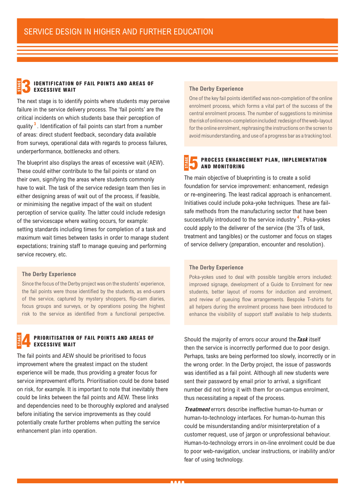#### **Identification of fail points and areas of excessive wait Stage 3**

The next stage is to identify points where students may perceive failure in the service delivery process. The 'fail points' are the critical incidents on which students base their perception of quality **<sup>3</sup>** . Identification of fail points can start from a number of areas: direct student feedback, secondary data available from surveys, operational data with regards to process failures, underperformance, bottlenecks and others.

The blueprint also displays the areas of excessive wait (AEW). These could either contribute to the fail points or stand on their own, signifying the areas where students commonly have to wait. The task of the service redesign team then lies in either designing areas of wait out of the process, if feasible, or minimising the negative impact of the wait on student perception of service quality. The latter could include redesign of the servicescape where waiting occurs, for example: setting standards including times for completion of a task and maximum wait times between tasks in order to manage student expectations; training staff to manage queuing and performing service recovery, etc.

#### **The Derby Experience**

Since the focus of the Derby project was on the students' experience, the fail points were those identified by the students, as end-users of the service, captured by mystery shoppers, flip-cam diaries, focus groups and surveys, or by operations posing the highest risk to the service as identified from a functional perspective.

#### **Prioritisation of fail points and areas of excessive wait Stage 4**

The fail points and AEW should be prioritised to focus improvement where the greatest impact on the student experience will be made, thus providing a greater focus for service improvement efforts. Prioritisation could be done based on risk, for example. It is important to note that inevitably there could be links between the fail points and AEW. These links and dependencies need to be thoroughly explored and analysed before initiating the service improvements as they could potentially create further problems when putting the service enhancement plan into operation.

#### **The Derby Experience**

One of the key fail points identified was non-completion of the online enrolment process, which forms a vital part of the success of the central enrolment process. The number of suggestions to minimise the risk of online non-completion included: redesign of the web-layout for the online enrolment, rephrasing the instructions on the screen to avoid misunderstanding, and use of a progress bar as a tracking tool*.*

#### **Process enhancement plan, implementation and monitoring Stage 5**

The main objective of blueprinting is to create a solid foundation for service improvement: enhancement, redesign or re-engineering. The least radical approach is enhancement. Initiatives could include poka-yoke techniques. These are failsafe methods from the manufacturing sector that have been successfully introduced to the service industry **<sup>4</sup>** . Poka-yokes could apply to the deliverer of the service (the '3Ts of task, treatment and tangibles) or the customer and focus on stages of service delivery (preparation, encounter and resolution).

#### **The Derby Experience**

Poka-yokes used to deal with possible tangible errors included: improved signage, development of a Guide to Enrolment for new students, better layout of rooms for induction and enrolment, and review of queuing flow arrangements. Bespoke T-shirts for all helpers during the enrolment process have been introduced to enhance the visibility of support staff available to help students.

Should the majority of errors occur around the**Task** itself then the service is incorrectly performed due to poor design. Perhaps, tasks are being performed too slowly, incorrectly or in the wrong order. In the Derby project, the issue of passwords was identified as a fail point. Although all new students were sent their password by email prior to arrival, a significant number did not bring it with them for on-campus enrolment, thus necessitating a repeat of the process.

**Treatment** errors describe ineffective human-to-human or human-to-technology interfaces. For human-to-human this could be misunderstanding and/or misinterpretation of a customer request, use of jargon or unprofessional behaviour. Human-to-technology errors in on-line enrolment could be due to poor web-navigation, unclear instructions, or inability and/or fear of using technology.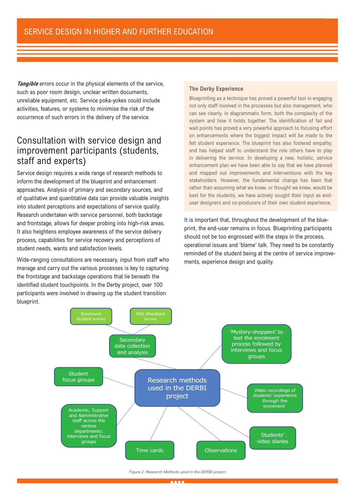**Tangible** errors occur in the physical elements of the service, such as poor room design, unclear written documents, unreliable equipment, etc. Service poka-yokes could include activities, features, or systems to minimise the risk of the occurrence of such errors in the delivery of the service.

## Consultation with service design and improvement participants (students, staff and experts)

Service design requires a wide range of research methods to inform the development of the blueprint and enhancement approaches. Analysis of primary and secondary sources, and of qualitative and quantitative data can provide valuable insights into student perceptions and expectations of service quality. Research undertaken with service personnel, both backstage and frontstage, allows for deeper probing into high-risk areas. It also heightens employee awareness of the service delivery process, capabilities for service recovery and perceptions of student needs, wants and satisfaction levels.

Wide-ranging consultations are necessary, input from staff who manage and carry out the various processes is key to capturing the frontstage and backstage operations that lie beneath the identified student touchpoints. In the Derby project, over 100 participants were involved in drawing up the student transition blueprint.

#### **The Derby Experience**

Blueprinting as a technique has proved a powerful tool in engaging not only staff involved in the processes but also management, who can see clearly, in diagrammatic form, both the complexity of the system and how it holds together. The identification of fail and wait points has proved a very powerful approach to focusing effort on enhancements where the biggest impact will be made to the felt student experience. The blueprint has also fostered empathy, and has helped staff to understand the role others have to play in delivering the service. In developing a new, holistic, service enhancement plan we have been able to say that we have planned and mapped out improvements and interventions with the key stakeholders. However, the fundamental change has been that rather than assuming what we knew, or thought we knew, would be best for the students, we have actively sought their input as enduser designers and co-producers of their own student experience.

It is important that, throughout the development of the blueprint, the end-user remains in focus. Blueprinting participants should not be too engrossed with the steps in the process, operational issues and 'blame' talk. They need to be constantly reminded of the student being at the centre of service improvements, experience design and quality.



#### *Figure 2: Research Methods used in the DERBI project*